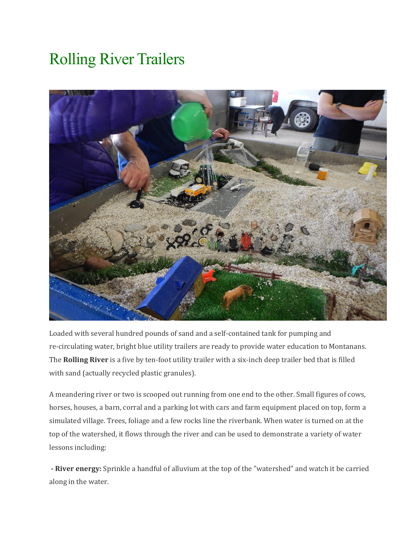## Rolling River Trailers



Loaded with several hundred pounds of sand and a self-contained tank for pumping and re-circulating water, bright blue utility trailers are ready to provide water education to Montanans. The **Rolling River** is a five by ten-foot utility trailer with a six-inch deep trailer bed that is filled with sand (actually recycled plastic granules).

A meandering river or two is scooped out running from one end to the other. Small figures of cows, horses, houses, a barn, corral and a parking lot with cars and farm equipment placed on top, form a simulated village. Trees, foliage and a few rocks line the riverbank. When water is turned on at the top of the watershed, it flows through the river and can be used to demonstrate a variety of water lessons including:

**- River energy:** Sprinkle a handful of alluvium at the top of the "watershed" and watch it be carried along in the water.